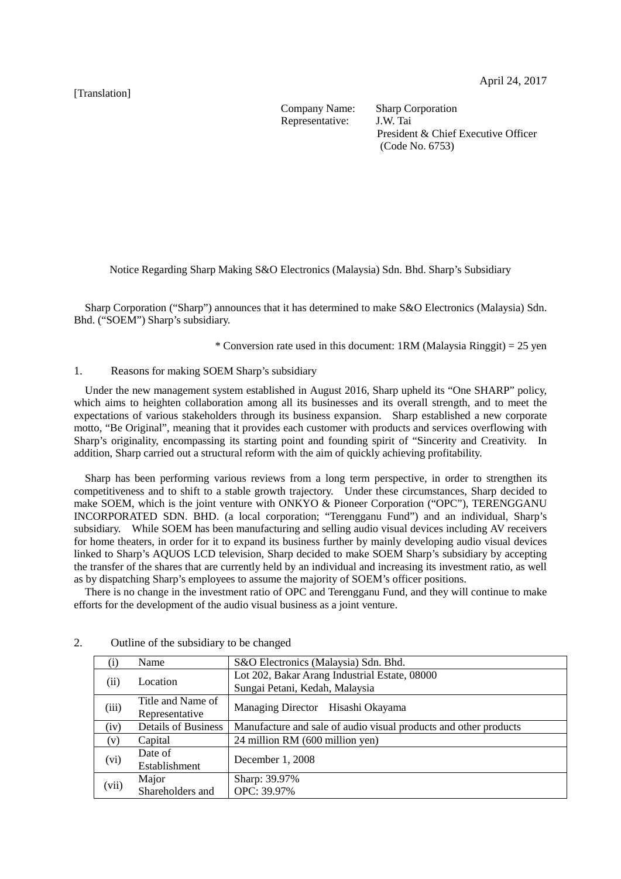## [Translation]

Company Name: Sharp Corporation Representative: J.W. Tai

President & Chief Executive Officer (Code No. 6753)

Notice Regarding Sharp Making S&O Electronics (Malaysia) Sdn. Bhd. Sharp's Subsidiary

Sharp Corporation ("Sharp") announces that it has determined to make S&O Electronics (Malaysia) Sdn. Bhd. ("SOEM") Sharp's subsidiary.

\* Conversion rate used in this document:  $1RM$  (Malaysia Ringgit) = 25 yen

## 1. Reasons for making SOEM Sharp's subsidiary

Under the new management system established in August 2016, Sharp upheld its "One SHARP" policy, which aims to heighten collaboration among all its businesses and its overall strength, and to meet the expectations of various stakeholders through its business expansion. Sharp established a new corporate motto, "Be Original", meaning that it provides each customer with products and services overflowing with Sharp's originality, encompassing its starting point and founding spirit of "Sincerity and Creativity. In addition, Sharp carried out a structural reform with the aim of quickly achieving profitability.

Sharp has been performing various reviews from a long term perspective, in order to strengthen its competitiveness and to shift to a stable growth trajectory. Under these circumstances, Sharp decided to make SOEM, which is the joint venture with ONKYO & Pioneer Corporation ("OPC"), TERENGGANU INCORPORATED SDN. BHD. (a local corporation; "Terengganu Fund") and an individual, Sharp's subsidiary. While SOEM has been manufacturing and selling audio visual devices including AV receivers for home theaters, in order for it to expand its business further by mainly developing audio visual devices linked to Sharp's AQUOS LCD television, Sharp decided to make SOEM Sharp's subsidiary by accepting the transfer of the shares that are currently held by an individual and increasing its investment ratio, as well as by dispatching Sharp's employees to assume the majority of SOEM's officer positions.

There is no change in the investment ratio of OPC and Terengganu Fund, and they will continue to make efforts for the development of the audio visual business as a joint venture.

|       | Name                       | S&O Electronics (Malaysia) Sdn. Bhd.                             |  |  |
|-------|----------------------------|------------------------------------------------------------------|--|--|
| (ii)  | Location                   | Lot 202, Bakar Arang Industrial Estate, 08000                    |  |  |
|       |                            | Sungai Petani, Kedah, Malaysia                                   |  |  |
| (iii) | Title and Name of          | Managing Director Hisashi Okayama                                |  |  |
|       | Representative             |                                                                  |  |  |
| (iv)  | <b>Details of Business</b> | Manufacture and sale of audio visual products and other products |  |  |
| (v)   | Capital                    | 24 million RM (600 million yen)                                  |  |  |
| (vi)  | Date of                    | December 1, 2008                                                 |  |  |
|       | Establishment              |                                                                  |  |  |
| (vii) | Major                      | Sharp: 39.97%                                                    |  |  |
|       | Shareholders and           | OPC: 39.97%                                                      |  |  |

## 2. Outline of the subsidiary to be changed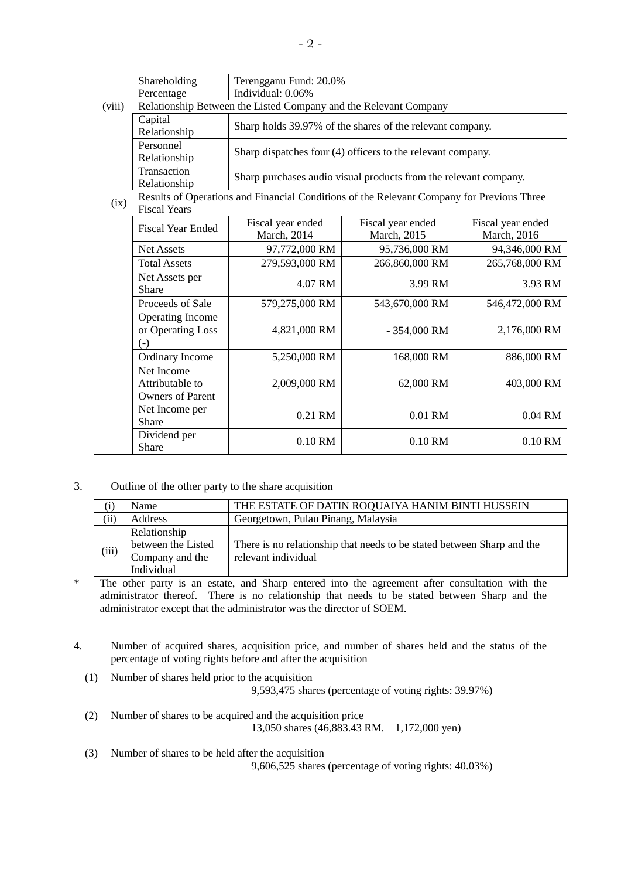|        | Shareholding<br>Percentage                                                                                       | Terengganu Fund: 20.0%<br>Individual: 0.06%                      |                                                                  |                                  |  |  |
|--------|------------------------------------------------------------------------------------------------------------------|------------------------------------------------------------------|------------------------------------------------------------------|----------------------------------|--|--|
| (viii) |                                                                                                                  | Relationship Between the Listed Company and the Relevant Company |                                                                  |                                  |  |  |
|        | Capital<br>Relationship                                                                                          | Sharp holds 39.97% of the shares of the relevant company.        |                                                                  |                                  |  |  |
|        | Personnel<br>Relationship                                                                                        | Sharp dispatches four (4) officers to the relevant company.      |                                                                  |                                  |  |  |
|        | Transaction<br>Relationship                                                                                      |                                                                  | Sharp purchases audio visual products from the relevant company. |                                  |  |  |
| (ix)   | Results of Operations and Financial Conditions of the Relevant Company for Previous Three<br><b>Fiscal Years</b> |                                                                  |                                                                  |                                  |  |  |
|        | <b>Fiscal Year Ended</b>                                                                                         | Fiscal year ended<br>March, 2014                                 | Fiscal year ended<br>March, 2015                                 | Fiscal year ended<br>March, 2016 |  |  |
|        | Net Assets                                                                                                       | 97,772,000 RM                                                    | 95,736,000 RM                                                    | 94,346,000 RM                    |  |  |
|        | <b>Total Assets</b>                                                                                              | 279,593,000 RM                                                   | 266,860,000 RM                                                   | 265,768,000 RM                   |  |  |
|        | Net Assets per<br>Share                                                                                          | 4.07 RM                                                          | 3.99 RM                                                          | 3.93 RM                          |  |  |
|        | Proceeds of Sale                                                                                                 | 579,275,000 RM                                                   | 543,670,000 RM                                                   | 546,472,000 RM                   |  |  |
|        | Operating Income<br>or Operating Loss<br>$(-)$                                                                   | 4,821,000 RM                                                     | $-354,000$ RM                                                    | 2,176,000 RM                     |  |  |
|        | Ordinary Income                                                                                                  | 5,250,000 RM                                                     | 168,000 RM                                                       | 886,000 RM                       |  |  |
|        | Net Income<br>Attributable to<br><b>Owners of Parent</b>                                                         | 2,009,000 RM                                                     | 62,000 RM                                                        | 403,000 RM                       |  |  |
|        | Net Income per<br><b>Share</b>                                                                                   | 0.21 RM                                                          | 0.01 RM                                                          | 0.04 RM                          |  |  |
|        | Dividend per<br>Share                                                                                            | 0.10 RM                                                          | 0.10 RM                                                          | 0.10 RM                          |  |  |

3. Outline of the other party to the share acquisition

|       | Name                                                                | THE ESTATE OF DATIN ROQUAIYA HANIM BINTI HUSSEIN<br>Georgetown, Pulau Pinang, Malaysia        |  |  |
|-------|---------------------------------------------------------------------|-----------------------------------------------------------------------------------------------|--|--|
| (ii)  | Address                                                             |                                                                                               |  |  |
| (iii) | Relationship<br>between the Listed<br>Company and the<br>Individual | There is no relationship that needs to be stated between Sharp and the<br>relevant individual |  |  |

\* The other party is an estate, and Sharp entered into the agreement after consultation with the administrator thereof. There is no relationship that needs to be stated between Sharp and the administrator except that the administrator was the director of SOEM.

4. Number of acquired shares, acquisition price, and number of shares held and the status of the percentage of voting rights before and after the acquisition

- (1) Number of shares held prior to the acquisition 9,593,475 shares (percentage of voting rights: 39.97%)
- (2) Number of shares to be acquired and the acquisition price 13,050 shares (46,883.43 RM. 1,172,000 yen)
- (3) Number of shares to be held after the acquisition 9,606,525 shares (percentage of voting rights: 40.03%)